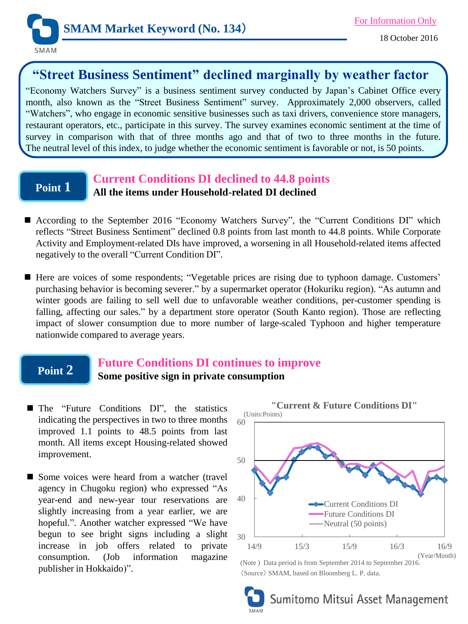

# **"Street Business Sentiment" declined marginally by weather factor**

"Economy Watchers Survey" is a business sentiment survey conducted by Japan's Cabinet Office every month, also known as the "Street Business Sentiment" survey. Approximately 2,000 observers, called "Watchers", who engage in economic sensitive businesses such as taxi drivers, convenience store managers, restaurant operators, etc., participate in this survey. The survey examines economic sentiment at the time of survey in comparison with that of three months ago and that of two to three months in the future. The neutral level of this index, to judge whether the economic sentiment is favorable or not, is 50 points.

## **Point 1**

### **Current Conditions DI declined to 44.8 points All the items under Household-related DI declined**

- According to the September 2016 "Economy Watchers Survey", the "Current Conditions DI" which reflects "Street Business Sentiment" declined 0.8 points from last month to 44.8 points. While Corporate Activity and Employment-related DIs have improved, a worsening in all Household-related items affected negatively to the overall "Current Condition DI".
- Here are voices of some respondents; "Vegetable prices are rising due to typhoon damage. Customers' purchasing behavior is becoming severer." by a supermarket operator (Hokuriku region). "As autumn and winter goods are failing to sell well due to unfavorable weather conditions, per-customer spending is falling, affecting our sales." by a department store operator (South Kanto region). Those are reflecting impact of slower consumption due to more number of large-scaled Typhoon and higher temperature nationwide compared to average years.

## **Point 2**

## **Future Conditions DI continues to improve Some positive sign in private consumption**

- The "Future Conditions DI", the statistics indicating the perspectives in two to three months improved 1.1 points to 48.5 points from last month. All items except Housing-related showed improvement.
- Some voices were heard from a watcher (travel agency in Chugoku region) who expressed "As year-end and new-year tour reservations are slightly increasing from a year earlier, we are hopeful.". Another watcher expressed "We have begun to see bright signs including a slight increase in job offers related to private consumption. (Job information magazine publisher in Hokkaido)".